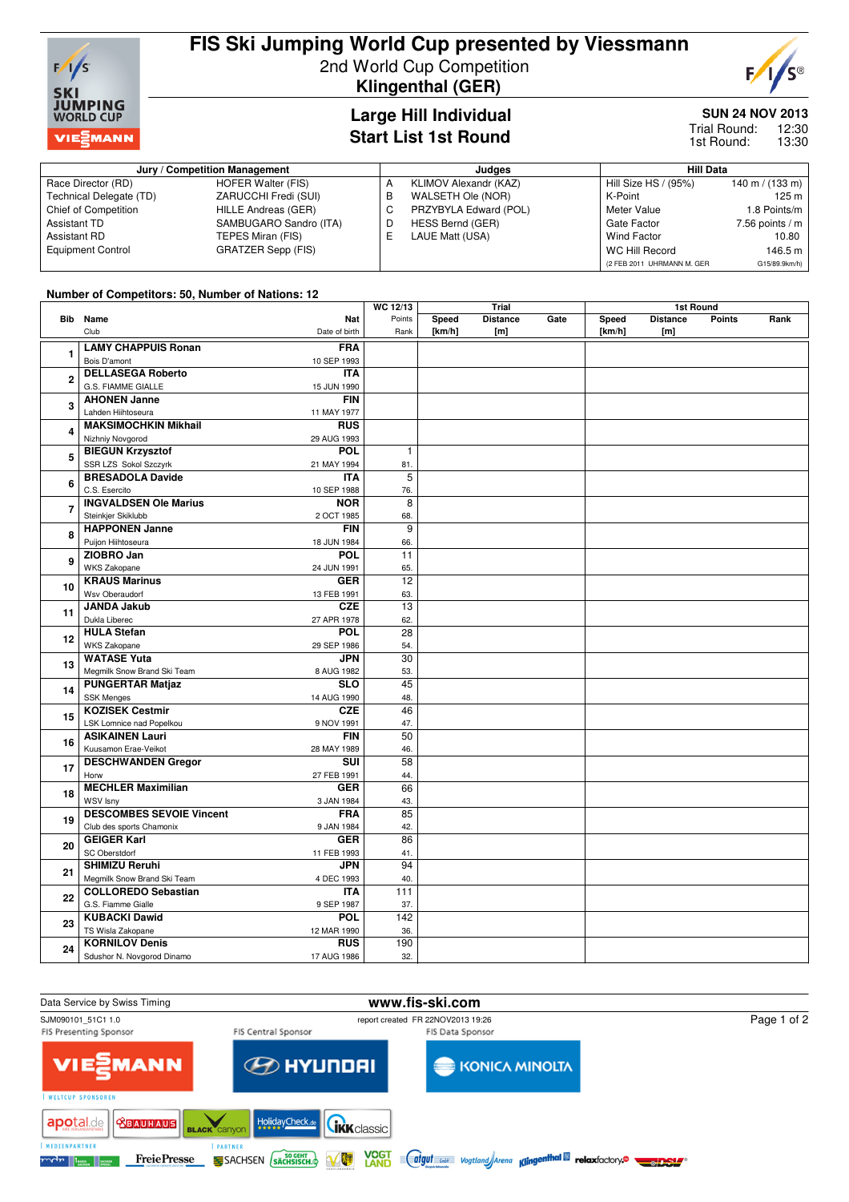

# **FIS Ski Jumping World Cup presented by Viessmann** 2nd World Cup Competition

**Klingenthal (GER)**

**Large Hill Individual Start List 1st Round**



## **SUN 24 NOV 2013**

12:30 13:30 Trial Round: 1st Round:

#### **Jury / Competition Management Judges Hill Data** Race Director (RD) HOFER Walter (FIS)<br>Technical Delegate (TD) ZARUCCHI Fredi (SUI) Technical Delegate (TD) ZARUCCHI Fredi (SUI)<br>Chief of Competition HILLE Andreas (GER) Chief of Competition Assistant TD SAMBUGARO Sandro (ITA)<br>Assistant RD TEPES Miran (FIS) Assistant RD TEPES Miran (FIS)<br>Equipment Control GRATZER Sepp (F GRATZER Sepp (FIS) A KLIMOV Alexandr (KAZ)<br>B WALSETH Ole (NOR) B WALSETH Ole (NOR)<br>C PRZYBYLA Edward (P PRZYBYLA Edward (POL) D HESS Bernd (GER)<br>E LAUE Matt (USA) LAUE Matt (USA) Hill Size HS / (95%) 140 m / (133 m)<br>K-Point 125 m K-Point<br>Meter Value 1.8 Points/m Gate Factor 7.56 points / m<br>Wind Factor 10.80 Wind Factor WC Hill Record 146.5 m (2 FEB 2011 UHRMANN M. GER G15/89.9km/h)

### **Number of Competitors: 50, Number of Nations: 12**

|                     |                                   |               | WC 12/13        |        | Trial           |      |        | 1st Round       |               |      |
|---------------------|-----------------------------------|---------------|-----------------|--------|-----------------|------|--------|-----------------|---------------|------|
|                     | <b>Bib</b> Name                   | <b>Nat</b>    | Points          | Speed  | <b>Distance</b> | Gate | Speed  | <b>Distance</b> | <b>Points</b> | Rank |
|                     | Club                              | Date of birth | Rank            | [km/h] | [m]             |      | [km/h] | [m]             |               |      |
| 1                   | <b>LAMY CHAPPUIS Ronan</b>        | <b>FRA</b>    |                 |        |                 |      |        |                 |               |      |
|                     | Bois D'amont                      | 10 SEP 1993   |                 |        |                 |      |        |                 |               |      |
|                     | <b>DELLASEGA Roberto</b>          | <b>ITA</b>    |                 |        |                 |      |        |                 |               |      |
| $\overline{2}$      | G.S. FIAMME GIALLE                |               |                 |        |                 |      |        |                 |               |      |
|                     |                                   | 15 JUN 1990   |                 |        |                 |      |        |                 |               |      |
| 3                   | <b>AHONEN Janne</b>               | <b>FIN</b>    |                 |        |                 |      |        |                 |               |      |
|                     | Lahden Hiihtoseura                | 11 MAY 1977   |                 |        |                 |      |        |                 |               |      |
| 4                   | <b>MAKSIMOCHKIN Mikhail</b>       | <b>RUS</b>    |                 |        |                 |      |        |                 |               |      |
|                     | Nizhniy Novgorod                  | 29 AUG 1993   |                 |        |                 |      |        |                 |               |      |
| 5                   | <b>BIEGUN Krzysztof</b>           | <b>POL</b>    | $\mathbf{1}$    |        |                 |      |        |                 |               |      |
|                     | SSR LZS Sokol Szczyrk             | 21 MAY 1994   | 81.             |        |                 |      |        |                 |               |      |
| 6<br>$\overline{7}$ | <b>BRESADOLA Davide</b>           | <b>ITA</b>    | 5               |        |                 |      |        |                 |               |      |
|                     | C.S. Esercito                     | 10 SEP 1988   | 76.             |        |                 |      |        |                 |               |      |
|                     | <b>INGVALDSEN Ole Marius</b>      | <b>NOR</b>    | 8               |        |                 |      |        |                 |               |      |
|                     | Steinkjer Skiklubb                | 2 OCT 1985    | 68.             |        |                 |      |        |                 |               |      |
|                     | <b>HAPPONEN Janne</b>             | <b>FIN</b>    | $\overline{9}$  |        |                 |      |        |                 |               |      |
| 8                   | Puijon Hiihtoseura                | 18 JUN 1984   | 66.             |        |                 |      |        |                 |               |      |
|                     | ZIOBRO Jan                        | <b>POL</b>    | $\overline{11}$ |        |                 |      |        |                 |               |      |
| 9                   | <b>WKS Zakopane</b>               | 24 JUN 1991   | 65.             |        |                 |      |        |                 |               |      |
|                     | <b>KRAUS Marinus</b>              | <b>GER</b>    | 12              |        |                 |      |        |                 |               |      |
| 10<br>11<br>12      |                                   |               |                 |        |                 |      |        |                 |               |      |
|                     | Wsv Oberaudorf                    | 13 FEB 1991   | 63.             |        |                 |      |        |                 |               |      |
|                     | <b>JANDA Jakub</b>                | <b>CZE</b>    | 13              |        |                 |      |        |                 |               |      |
|                     | Dukla Liberec                     | 27 APR 1978   | 62.             |        |                 |      |        |                 |               |      |
|                     | <b>HULA Stefan</b>                | <b>POL</b>    | 28              |        |                 |      |        |                 |               |      |
|                     | WKS Zakopane                      | 29 SEP 1986   | 54.             |        |                 |      |        |                 |               |      |
| 13                  | <b>WATASE Yuta</b>                | <b>JPN</b>    | $\overline{30}$ |        |                 |      |        |                 |               |      |
|                     | Megmilk Snow Brand Ski Team       | 8 AUG 1982    | 53.             |        |                 |      |        |                 |               |      |
|                     | <b>PUNGERTAR Matjaz</b>           | <b>SLO</b>    | 45              |        |                 |      |        |                 |               |      |
| 14                  | <b>SSK Menges</b>                 | 14 AUG 1990   | 48.             |        |                 |      |        |                 |               |      |
|                     | <b>KOZISEK Cestmir</b>            | <b>CZE</b>    | 46              |        |                 |      |        |                 |               |      |
| 15                  | LSK Lomnice nad Popelkou          | 9 NOV 1991    | 47.             |        |                 |      |        |                 |               |      |
|                     | <b>ASIKAINEN Lauri</b>            | <b>FIN</b>    | 50              |        |                 |      |        |                 |               |      |
| 16                  | Kuusamon Erae-Veikot              | 28 MAY 1989   | 46.             |        |                 |      |        |                 |               |      |
|                     | <b>DESCHWANDEN Gregor</b>         | SUI           | 58              |        |                 |      |        |                 |               |      |
| 17                  |                                   |               | 44.             |        |                 |      |        |                 |               |      |
|                     | Horw<br><b>MECHLER Maximilian</b> | 27 FEB 1991   | 66              |        |                 |      |        |                 |               |      |
| 18                  |                                   | <b>GER</b>    |                 |        |                 |      |        |                 |               |      |
|                     | WSV Isny                          | 3 JAN 1984    | 43.             |        |                 |      |        |                 |               |      |
| 19                  | <b>DESCOMBES SEVOIE Vincent</b>   | <b>FRA</b>    | 85              |        |                 |      |        |                 |               |      |
|                     | Club des sports Chamonix          | 9 JAN 1984    | 42.             |        |                 |      |        |                 |               |      |
| 20                  | <b>GEIGER Karl</b>                | <b>GER</b>    | 86              |        |                 |      |        |                 |               |      |
|                     | <b>SC Oberstdorf</b>              | 11 FEB 1993   | 41.             |        |                 |      |        |                 |               |      |
| 21                  | <b>SHIMIZU Reruhi</b>             | <b>JPN</b>    | $\overline{94}$ |        |                 |      |        |                 |               |      |
|                     | Megmilk Snow Brand Ski Team       | 4 DEC 1993    | 40.             |        |                 |      |        |                 |               |      |
| 22                  | <b>COLLOREDO Sebastian</b>        | <b>ITA</b>    | 111             |        |                 |      |        |                 |               |      |
|                     | G.S. Fiamme Gialle                | 9 SEP 1987    | 37.             |        |                 |      |        |                 |               |      |
| 23                  | <b>KUBACKI Dawid</b>              | <b>POL</b>    | 142             |        |                 |      |        |                 |               |      |
|                     | TS Wisla Zakopane                 | 12 MAR 1990   | 36.             |        |                 |      |        |                 |               |      |
|                     | <b>KORNILOV Denis</b>             | <b>RUS</b>    | 190             |        |                 |      |        |                 |               |      |
| 24                  | Sdushor N. Novgorod Dinamo        | 17 AUG 1986   | 32.             |        |                 |      |        |                 |               |      |
|                     |                                   |               |                 |        |                 |      |        |                 |               |      |